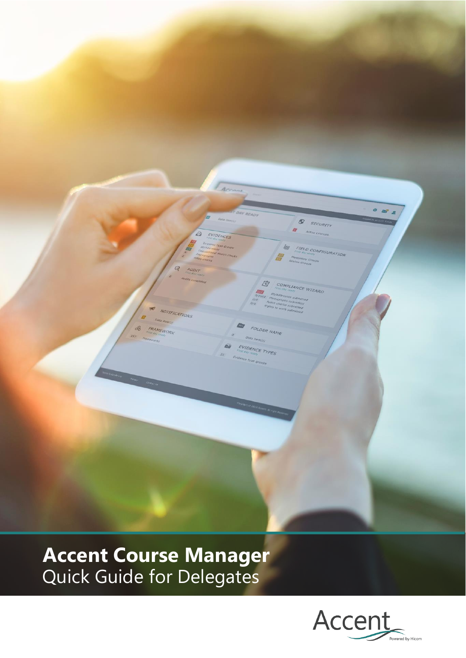

# **Accent Course Manager** Quick Guide for Delegates

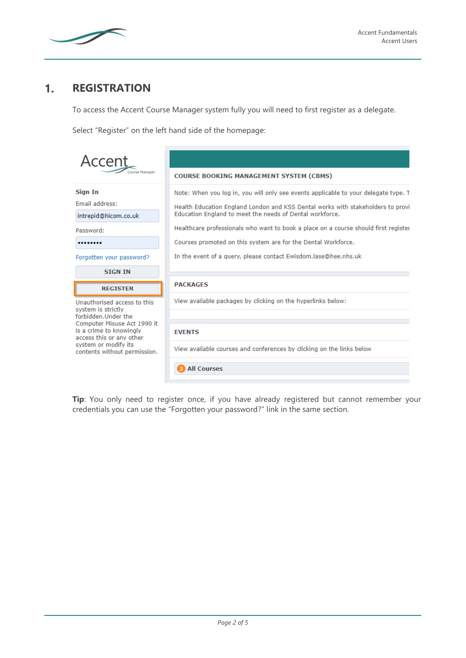

## $1<sub>1</sub>$ **REGISTRATION**

To access the Accent Course Manager system fully you will need to first register as a delegate.

Select "Register" on the left hand side of the homepage:

| Accent                                                                                                                         |                                                                                                                                                                                                                                                                                                                                                                                                                                                               |  |  |  |
|--------------------------------------------------------------------------------------------------------------------------------|---------------------------------------------------------------------------------------------------------------------------------------------------------------------------------------------------------------------------------------------------------------------------------------------------------------------------------------------------------------------------------------------------------------------------------------------------------------|--|--|--|
|                                                                                                                                | <b>COURSE BOOKING MANAGEMENT SYSTEM (CBMS)</b>                                                                                                                                                                                                                                                                                                                                                                                                                |  |  |  |
| <b>Sign In</b><br><b>Email address:</b><br>intrepid@hicom.co.uk<br>Password:<br><br>Forgotten your password?<br><b>SIGN IN</b> | Note: When you log in, you will only see events applicable to your delegate type. T<br>Health Education England London and KSS Dental works with stakeholders to provi<br>Education England to meet the needs of Dental workforce.<br>Healthcare professionals who want to book a place on a course should first register<br>Courses promoted on this system are for the Dental Workforce.<br>In the event of a query, please contact Ewisdom.lase@hee.nhs.uk |  |  |  |
| <b>REGISTER</b>                                                                                                                | <b>PACKAGES</b>                                                                                                                                                                                                                                                                                                                                                                                                                                               |  |  |  |
| Unauthorised access to this<br>system is strictly<br>forbidden.Under the                                                       | View available packages by clicking on the hyperlinks below:                                                                                                                                                                                                                                                                                                                                                                                                  |  |  |  |
| Computer Misuse Act 1990 it<br>is a crime to knowingly<br>access this or any other                                             | <b>FVENTS</b>                                                                                                                                                                                                                                                                                                                                                                                                                                                 |  |  |  |
| system or modify its<br>contents without permission.                                                                           | View available courses and conferences by clicking on the links below                                                                                                                                                                                                                                                                                                                                                                                         |  |  |  |
|                                                                                                                                | <b>All Courses</b>                                                                                                                                                                                                                                                                                                                                                                                                                                            |  |  |  |

Tip: You only need to register once, if you have already registered but cannot remember your credentials you can use the "Forgotten your password?" link in the same section.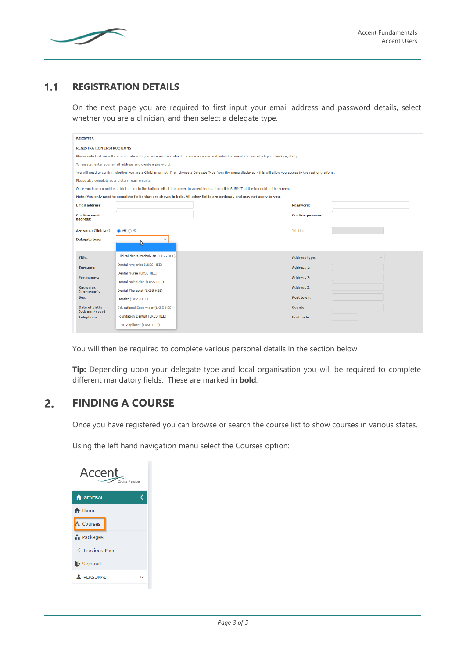

#### $1.1$ **REGISTRATION DETAILS**

On the next page you are required to first input your email address and password details, select whether you are a clinician, and then select a delegate type.

| <b>REGISTER</b>                                                                                                                                                        |                                                                                                                                           |                                                                                                                         |  |  |  |  |
|------------------------------------------------------------------------------------------------------------------------------------------------------------------------|-------------------------------------------------------------------------------------------------------------------------------------------|-------------------------------------------------------------------------------------------------------------------------|--|--|--|--|
| <b>REGISTRATION INSTRUCTIONS</b>                                                                                                                                       |                                                                                                                                           |                                                                                                                         |  |  |  |  |
| Please note that we will communicate with you via email. You should provide a secure and individual email address which you check regularly.                           |                                                                                                                                           |                                                                                                                         |  |  |  |  |
| To register, enter your email address and create a password.                                                                                                           |                                                                                                                                           |                                                                                                                         |  |  |  |  |
| You will need to confirm whether you are a Clinician or not. Then choose a Delegate Type from the menu displayed - this will allow you access to the rest of the form. |                                                                                                                                           |                                                                                                                         |  |  |  |  |
| Please also complete your dietary requirements.                                                                                                                        |                                                                                                                                           |                                                                                                                         |  |  |  |  |
|                                                                                                                                                                        | Once you have completed, tick the box in the bottom left of the screen to accept terms, then click SUBMIT at the top right of the screen. |                                                                                                                         |  |  |  |  |
|                                                                                                                                                                        |                                                                                                                                           | Note: You only need to complete fields that are shown in bold. All other fields are optional, and may not apply to you. |  |  |  |  |
| <b>Email address:</b>                                                                                                                                                  |                                                                                                                                           | Password:                                                                                                               |  |  |  |  |
| <b>Confirm email</b><br>address:                                                                                                                                       |                                                                                                                                           | <b>Confirm password:</b>                                                                                                |  |  |  |  |
| Are you a Clinician?:                                                                                                                                                  | $\bullet$ Yes $\bigcap$ No                                                                                                                | Job title:                                                                                                              |  |  |  |  |
| Delegate type:                                                                                                                                                         |                                                                                                                                           |                                                                                                                         |  |  |  |  |
| Title:                                                                                                                                                                 | Clinical dental technician (LKSS HEE)                                                                                                     | Address type:                                                                                                           |  |  |  |  |
| Surname:                                                                                                                                                               | Dental hygienist (LKSS HEE)                                                                                                               | Address 1:                                                                                                              |  |  |  |  |
|                                                                                                                                                                        | Dental Nurse (LKSS HEE)                                                                                                                   |                                                                                                                         |  |  |  |  |
| <b>Forenames:</b>                                                                                                                                                      | Dental technician (LKSS HEE)                                                                                                              | Address 2:                                                                                                              |  |  |  |  |
| <b>Known as</b><br>(forename):                                                                                                                                         | Dental Therapist (LKSS HEE)                                                                                                               | Address 3:                                                                                                              |  |  |  |  |
| Sex:                                                                                                                                                                   | Dentist (LKSS HEE)                                                                                                                        | Post town:                                                                                                              |  |  |  |  |
| Date of birth:<br>(dd/mm/vvvv)                                                                                                                                         | <b>Educational Supervisor (LKSS HEE)</b>                                                                                                  | <b>County:</b>                                                                                                          |  |  |  |  |
| <b>Telephone:</b>                                                                                                                                                      | Foundation Dentist (LKSS HEE)                                                                                                             | Post code:                                                                                                              |  |  |  |  |
|                                                                                                                                                                        | PLVE Applicant (LKSS HEE)                                                                                                                 |                                                                                                                         |  |  |  |  |

You will then be required to complete various personal details in the section below.

**Tip:** Depending upon your delegate type and local organisation you will be required to complete different mandatory fields. These are marked in **bold**.

## $2.$ **FINDING A COURSE**

Once you have registered you can browse or search the course list to show courses in various states.

Using the left hand navigation menu select the Courses option:

| <b>Accent</b><br>Course Manager |  |
|---------------------------------|--|
| <b>A</b> GENERAL                |  |
| A Home                          |  |
| Courses                         |  |
| <b>Packages</b>                 |  |
| < Previous Page                 |  |
| $\mathbf{B}$ Sign out           |  |
| PERSONAL                        |  |
|                                 |  |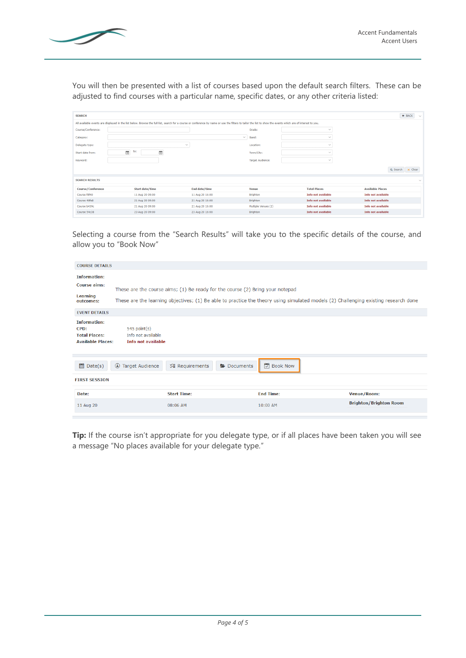

You will then be presented with a list of courses based upon the default search filters. These can be adjusted to find courses with a particular name, specific dates, or any other criteria listed:

| <b>SEARCH</b>            |                                                                                                                                                                                                              |                 |              |                         |                           |                           | $\leftarrow$ BACK |
|--------------------------|--------------------------------------------------------------------------------------------------------------------------------------------------------------------------------------------------------------|-----------------|--------------|-------------------------|---------------------------|---------------------------|-------------------|
|                          | All available events are displayed in the list below. Browse the full list, search for a course or conference by name or use the filters to tailor the list to show the events which are of interest to you. |                 |              |                         |                           |                           |                   |
| Course/Conference:       |                                                                                                                                                                                                              |                 |              | Grade:                  | $\checkmark$              |                           |                   |
| Category:                |                                                                                                                                                                                                              |                 | $\checkmark$ | Band:                   | $\checkmark$              |                           |                   |
| Delegate type:           |                                                                                                                                                                                                              | $\checkmark$    |              | Location:               | $\checkmark$              |                           |                   |
| Start date from:         | to:<br>Ŧ<br>Œ                                                                                                                                                                                                |                 |              | Town/City:              | $\checkmark$              |                           |                   |
| Keyword:                 |                                                                                                                                                                                                              |                 |              | <b>Target Audience:</b> | $\checkmark$              |                           |                   |
|                          |                                                                                                                                                                                                              |                 |              |                         |                           | Q Search X Clear          |                   |
| <b>SEARCH RESULTS</b>    |                                                                                                                                                                                                              |                 |              |                         |                           |                           | $\checkmark$      |
| <b>Course/Conference</b> | <b>Start date/time</b>                                                                                                                                                                                       | End date/time   |              | <b>Venue</b>            | <b>Total Places</b>       | <b>Available Places</b>   |                   |
| Course f8f40             | 11 Aug 20 09:00                                                                                                                                                                                              | 11 Aug 20 16:00 |              | <b>Brighton</b>         | <b>Info not available</b> | <b>Info not available</b> |                   |
| Course 48fe8             | 21 Aug 20 09:00                                                                                                                                                                                              | 21 Aug 20 16:00 |              | <b>Brighton</b>         | <b>Info not available</b> | <b>Info not available</b> |                   |
| Course b439c             | 21 Aug 20 09:00                                                                                                                                                                                              | 21 Aug 20 16:00 |              | Multiple Venues (2)     | <b>Info not available</b> | <b>Info not available</b> |                   |
| Course 54c38             | 23 Aug 20 09:00                                                                                                                                                                                              | 23 Aug 20 16:00 |              | <b>Brighton</b>         | <b>Info not available</b> | <b>Info not available</b> |                   |

Selecting a course from the "Search Results" will take you to the specific details of the course, and allow you to "Book Now"

| <b>COURSE DETAILS</b>                                                           |                                                                      |                                                                               |           |                  |                                                                                                                                     |
|---------------------------------------------------------------------------------|----------------------------------------------------------------------|-------------------------------------------------------------------------------|-----------|------------------|-------------------------------------------------------------------------------------------------------------------------------------|
| <b>Information:</b><br><b>Course aims:</b><br>Learning<br>outcomes:             |                                                                      | These are the course aims; (1) Be ready for the course (2) Bring your notepad |           |                  | These are the learning objectives; (1) Be able to practice the theory using simulated models (2) Challenging existing research done |
| <b>EVENT DETAILS</b>                                                            |                                                                      |                                                                               |           |                  |                                                                                                                                     |
| <b>Information:</b><br>CPD:<br><b>Total Places:</b><br><b>Available Places:</b> | $545$ point $(s)$<br>Info not available<br><b>Info not available</b> |                                                                               |           |                  |                                                                                                                                     |
| $\Box$ Date(s)                                                                  | <b>4</b> Target Audience                                             | <b>V</b> ≣ Requirements                                                       | Documents | <b>Book Now</b>  |                                                                                                                                     |
| <b>FIRST SESSION</b>                                                            |                                                                      |                                                                               |           |                  |                                                                                                                                     |
| Date:                                                                           |                                                                      | <b>Start Time:</b>                                                            |           | <b>End Time:</b> | Venue/Room:                                                                                                                         |
| 11 Aug 20                                                                       |                                                                      | 08:06 AM                                                                      |           | 10:00 AM         | <b>Brighton/Brighton Room</b>                                                                                                       |

**Tip:** If the course isn't appropriate for you delegate type, or if all places have been taken you will see a message "No places available for your delegate type."